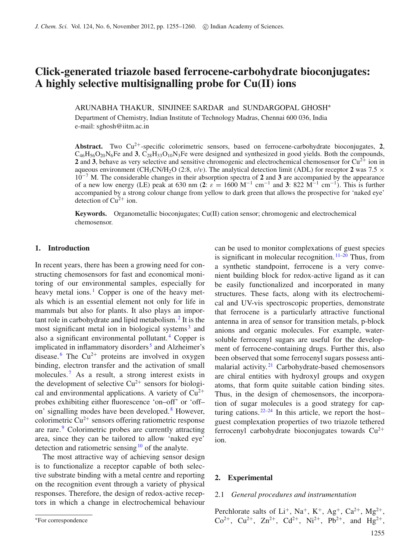# **Click-generated triazole based ferrocene-carbohydrate bioconjugates: A highly selective multisignalling probe for Cu(II) ions**

ARUNABHA THAKUR, SINJINEE SARDAR and SUNDARGOPAL GHOSH<sup>∗</sup>

Department of Chemistry, Indian Institute of Technology Madras, Chennai 600 036, India e-mail: sghosh@iitm.ac.in

**Abstract.** Two  $Cu^{2+}$ -specific colorimetric sensors, based on ferrocene-carbohydrate bioconjugates, 2,  $C_{46}H_{56}O_{20}N_6$ Fe and **3**,  $C_{28}H_{33}O_{10}N_3$ Fe were designed and synthesized in good yields. Both the compounds, **2** and **3**, behave as very selective and sensitive chromogenic and electrochemical chemosensor for  $Cu^{2+}$  ion in aqueous environment (CH<sub>3</sub>CN/H<sub>2</sub>O (2:8,  $v/v$ ). The analytical detection limit (ADL) for receptor 2 was 7.5  $\times$ 10−<sup>7</sup> M. The considerable changes in their absorption spectra of **2** and **3** are accompanied by the appearance of a new low energy (LE) peak at 630 nm (2:  $\varepsilon = 1600 \text{ M}^{-1} \text{ cm}^{-1}$  and 3: 822 M<sup>-1</sup> cm<sup>-1</sup>). This is further accompanied by a strong colour change from yellow to dark green that allows the prospective for 'naked eye' detection of  $Cu^{2+}$  ion.

**Keywords.** Organometallic bioconjugates; Cu(II) cation sensor; chromogenic and electrochemical chemosensor.

## **1. Introduction**

In recent years, there has been a growing need for constructing chemosensors for fast and economical monitoring of our environmental samples, especially for heavy metal ions. $\frac{1}{1}$  $\frac{1}{1}$  $\frac{1}{1}$  Copper is one of the heavy metals which is an essential element not only for life in mammals but also for plants. It also plays an important role in carbohydrate and lipid metabolism. [2](#page-5-1) It is the most significant metal ion in biological systems<sup>[3](#page-5-2)</sup> and also a significant environmental pollutant. [4](#page-5-3) Copper is implicated in inflammatory disorders<sup>[5](#page-5-4)</sup> and Alzheimer's disease. <sup>[6](#page-5-5)</sup> The Cu<sup>2+</sup> proteins are involved in oxygen binding, electron transfer and the activation of small molecules.<sup>[7](#page-5-6)</sup> As a result, a strong interest exists in the development of selective  $Cu^{2+}$  sensors for biological and environmental applications. A variety of  $Cu^{2+}$ probes exhibiting either fluorescence 'on–off' or 'off– on' signalling modes have been developed.<sup>[8](#page-5-7)</sup> However, colorimetric  $Cu^{2+}$  sensors offering ratiometric response are rare. [9](#page-5-8) Colorimetric probes are currently attracting area, since they can be tailored to allow 'naked eye' detection and ratiometric sensing  $10$  of the analyte.

The most attractive way of achieving sensor design is to functionalize a receptor capable of both selective substrate binding with a metal centre and reporting on the recognition event through a variety of physical responses. Therefore, the design of redox-active receptors in which a change in electrochemical behaviour can be used to monitor complexations of guest species is significant in molecular recognition.  $11-20$  $11-20$  Thus, from a synthetic standpoint, ferrocene is a very convenient building block for redox-active ligand as it can be easily functionalized and incorporated in many structures. These facts, along with its electrochemical and UV-vis spectroscopic properties, demonstrate that ferrocene is a particularly attractive functional antenna in area of sensor for transition metals, p-block anions and organic molecules. For example, watersoluble ferrocenyl sugars are useful for the development of ferrocene-containing drugs. Further this, also been observed that some ferrocenyl sugars possess antimalarial activity. $21$  Carbohydrate-based chemosensors are chiral entities with hydroxyl groups and oxygen atoms, that form quite suitable cation binding sites. Thus, in the design of chemosensors, the incorporation of sugar molecules is a good strategy for capturing cations.  $22-24$  $22-24$  In this article, we report the hostguest complexation properties of two triazole tethered ferrocenyl carbohydrate bioconjugates towards  $Cu^{2+}$ ion.

# **2. Experimental**

# 2.1 *General procedures and instrumentation*

Perchlorate salts of Li<sup>+</sup>, Na<sup>+</sup>, K<sup>+</sup>, Ag<sup>+</sup>, Ca<sup>2+</sup>, Mg<sup>2+</sup>,  $Co^{2+}$ ,  $Cu^{2+}$ ,  $Zn^{2+}$ ,  $Cd^{2+}$ ,  $Ni^{2+}$ ,  $Pb^{2+}$ , and  $Hg^{2+}$ ,

<sup>∗</sup>For correspondence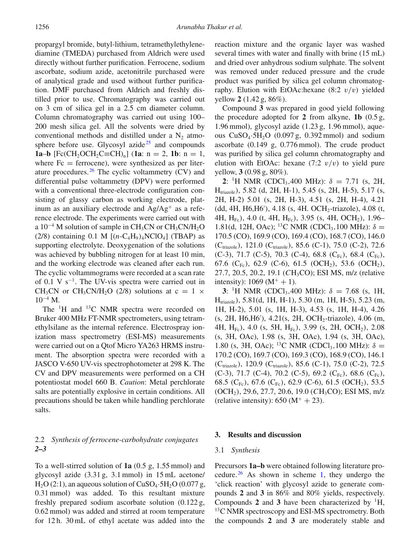propargyl bromide, butyl-lithium, tetramethylethylenediamine (TMEDA) purchased from Aldrich were used directly without further purification. Ferrocene, sodium ascorbate, sodium azide, acetonitrile purchased were of analytical grade and used without further purification. DMF purchased from Aldrich and freshly distilled prior to use. Chromatography was carried out on 3 cm of silica gel in a 2.5 cm diameter column. Column chromatography was carried out using 100– 200 mesh silica gel. All the solvents were dried by conventional methods and distilled under a  $N_2$  atmo-sphere before use. Glycosyl azide<sup>[25](#page-5-15)</sup> and compounds **1a–b**  $[Fc(CH_2OCH_2C\equiv CH)_n]$  (**1a**: n = 2, **1b**: n = 1, where  $Fc =$  ferrocene), were synthesized as per literature procedures. $26$  The cyclic voltammetry (CV) and differential pulse voltammetry (DPV) were performed with a conventional three-electrode configuration consisting of glassy carbon as working electrode, platinum as an auxiliary electrode and  $Ag/Ag^+$  as a reference electrode. The experiments were carried out with a  $10^{-4}$  M solution of sample in CH<sub>3</sub>CN or CH<sub>3</sub>CN/H<sub>2</sub>O (2/8) containing 0.1 M  $[(n-C_4H_9)_4NClO_4]$  (TBAP) as supporting electrolyte. Deoxygenation of the solutions was achieved by bubbling nitrogen for at least 10 min, and the working electrode was cleaned after each run. The cyclic voltammograms were recorded at a scan rate of 0.1 V  $s^{-1}$ . The UV-vis spectra were carried out in CH<sub>3</sub>CN or CH<sub>3</sub>CN/H<sub>2</sub>O (2/8) solutions at  $c = 1 \times$  $10^{-4}$  M.

The <sup>1</sup>H and <sup>13</sup>C NMR spectra were recorded on Bruker 400 MHz FT-NMR spectrometers, using tetramethylsilane as the internal reference. Electrospray ionization mass spectrometry (ESI-MS) measurements were carried out on a Qtof Micro YA263 HRMS instrument. The absorption spectra were recorded with a JASCO V-650 UV-vis spectrophotometer at 298 K. The CV and DPV measurements were performed on a CH potentiostat model 660 B. *Caution*: Metal perchlorate salts are potentially explosive in certain conditions. All precautions should be taken while handling perchlorate salts.

# 2.2 *Synthesis of ferrocene-carbohydrate conjugates 2–3*

To a well-stirred solution of **1a** (0.5 g, 1.55 mmol) and glycosyl azide (3.31 g, 3.1 mmol) in 15 mL acetone/  $H<sub>2</sub>O(2:1)$ , an aqueous solution of CuSO<sub>4</sub> $\cdot$ 5H<sub>2</sub>O (0.077 g, 0.31 mmol) was added. To this resultant mixture freshly prepared sodium ascorbate solution (0.122 g, 0.62 mmol) was added and stirred at room temperature for 12 h. 30 mL of ethyl acetate was added into the reaction mixture and the organic layer was washed several times with water and finally with brine (15 mL) and dried over anhydrous sodium sulphate. The solvent was removed under reduced pressure and the crude product was purified by silica gel column chromatography. Elution with EtOAc:hexane  $(8:2 \, v/v)$  yielded yellow **2** (1.42 g, 86%).

Compound **3** was prepared in good yield following the procedure adopted for **2** from alkyne, **1b** (0.5 g, 1.96 mmol), glycosyl azide (1.23 g, 1.96 mmol), aqueous  $CuSO<sub>4</sub>·5H<sub>2</sub>O$  (0.097 g, 0.392 mmol) and sodium ascorbate (0.149 g, 0.776 mmol). The crude product was purified by silica gel column chromatography and elution with EtOAc: hexane  $(7:2 \frac{v}{v})$  to yield pure yellow, **3** (0.98 g, 80%).

**2**: <sup>1</sup>H NMR (CDCl<sub>3</sub>,400 MHz):  $\delta = 7.71$  (s, 2H, Htriazole), 5.82 (d, 2H, H-1), 5.45 (s, 2H, H-5), 5.17 (s, 2H, H-2) 5.01 (s, 2H, H-3), 4.51 (s, 2H, H-4), 4.21 (dd, 4H, H6,H6 ), 4.18 (s, 4H. OCH2-triazole), 4.08 (t, 4H,  $H_{Fe}$ ), 4.0 (t, 4H,  $H_{Fe}$ ), 3.95 (s, 4H, OCH<sub>2</sub>), 1.96– 1.81(d, 12H, OAc); <sup>13</sup>C NMR (CDCl<sub>3</sub>, 100 MHz):  $\delta =$ 170.5 (CO), 169.9 (CO), 169.4 (CO), 168.7 (CO), 146.0 (C<sub>triazole</sub>), 121.0 (C<sub>triazole</sub>), 85.6 (C-1), 75.0 (C-2), 72.6 (C-3), 71.7 (C-5), 70.3 (C-4), 68.8 (C<sub>Fc</sub>), 68.4 (C<sub>Fc</sub>), 67.6 (C<sub>Fc</sub>), 62.9 (C-6), 61.5 (OCH<sub>2</sub>), 53.6 (OCH<sub>2</sub>), 27.7, 20.5, 20.2, 19.1 (*C*H3CO); ESI MS, m/z (relative intensity):  $1069 (M^+ + 1)$ .

**3**: <sup>1</sup>H NMR (CDCl<sub>3</sub>,400 MHz):  $\delta = 7.68$  (s, 1H, Htriazole), 5.81(d, 1H, H-1), 5.30 (m, 1H, H-5), 5.23 (m, 1H, H-2), 5.01 (s, 1H, H-3), 4.53 (s, 1H, H-4), 4.26 (s, 2H, H6,H6 ), 4.21(s, 2H, OCH2-triazole), 4.06 (m, 4H, H<sub>Fc</sub>), 4.0 (s, 5H, H<sub>Fc</sub>), 3.99 (s, 2H, OCH<sub>2</sub>), 2.08 (s, 3H, OAc), 1.98 (s, 3H, OAc), 1.94 (s, 3H, OAc), 1.80 (s, 3H, OAc); <sup>13</sup>C NMR (CDCl<sub>3</sub>, 100 MHz):  $\delta =$ 170.2 (CO), 169.7 (CO), 169.3 (CO), 168.9 (CO), 146.1 (C<sub>triazole</sub>), 120.9 (C<sub>triazole</sub>), 85.6 (C-1), 75.0 (C-2), 72.5 (C-3), 71.7 (C-4), 70.2 (C-5), 69.2 (C<sub>Fc</sub>), 68.6 (C<sub>Fc</sub>), 68.5 (C<sub>Fc</sub>), 67.6 (C<sub>Fc</sub>), 62.9 (C-6), 61.5 (OCH<sub>2</sub>), 53.5 (OCH<sub>2</sub>), 29.6, 27.7, 20.6, 19.0 (CH<sub>3</sub>CO); ESI MS, m/z (relative intensity):  $650 (M<sup>+</sup> + 23)$ .

#### **3. Results and discussion**

#### 3.1 *Synthesis*

Precursors **1a–b** were obtained following literature pro-cedure. <sup>[26](#page-5-16)</sup> As shown in scheme [1,](#page-2-0) they undergo the 'click reaction' with glycosyl azide to generate compounds **2** and **3** in 86% and 80% yields, respectively. Compounds 2 and 3 have been characterized by  ${}^{1}H$ ,  $13<sup>13</sup>C$  NMR spectroscopy and ESI-MS spectrometry. Both the compounds **2** and **3** are moderately stable and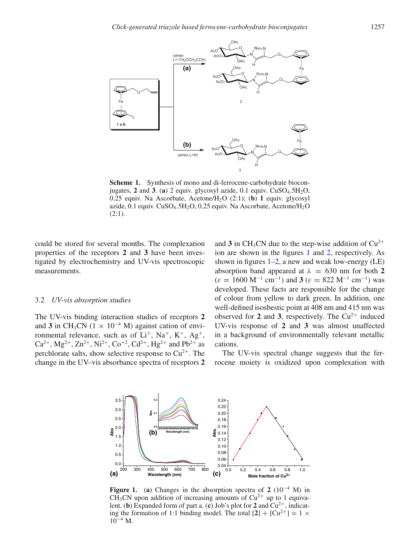<span id="page-2-0"></span>

**Scheme 1.** Synthesis of mono and di-ferrocene-carbohydrate bioconjugates, **2** and **3**. (**a**) 2 equiv. glycosyl azide, 0.1 equiv. CuSO4.5H2O, 0.25 equiv. Na Ascorbate, Acetone/H2O (2:1); (**b**) **1** equiv. glycosyl azide, 0.1 equiv. CuSO<sub>4</sub>.5H<sub>2</sub>O, 0.25 equiv. Na Ascorbate, Acetone/H<sub>2</sub>O (2:1).

could be stored for several months. The complexation properties of the receptors **2** and **3** have been investigated by electrochemistry and UV-vis spectroscopic measurements.

#### 3.2 *UV-vis absorption studies*

<span id="page-2-1"></span>The UV-vis binding interaction studies of receptors **2** and **3** in CH<sub>3</sub>CN (1  $\times$  10<sup>-4</sup> M) against cation of environmental relevance, such as of  $Li^+$ ,  $Na^+$ ,  $K^+$ ,  $Ag^+$ ,  $Ca^{2+}$ ,  $Mg^{2+}$ ,  $Zn^{2+}$ ,  $Ni^{2+}$ ,  $Co^{+2}$ ,  $Cd^{2+}$ ,  $Hg^{2+}$  and  $Pb^{2+}$  as perchlorate salts, show selective response to  $Cu^{2+}$ . The change in the UV–vis absorbance spectra of receptors **2**

and  $3$  in CH<sub>3</sub>CN due to the step-wise addition of  $Cu^{2+}$ ion are shown in the figures [1](#page-2-1) and [2,](#page-3-0) respectively. As shown in figures  $1-2$ , a new and weak low-energy (LE) absorption band appeared at  $\lambda = 630$  nm for both 2  $(\varepsilon = 1600 \text{ M}^{-1} \text{ cm}^{-1})$  and **3** ( $\varepsilon = 822 \text{ M}^{-1} \text{ cm}^{-1}$ ) was developed. These facts are responsible for the change of colour from yellow to dark green. In addition, one well-defined isosbestic point at 408 nm and 415 nm was observed for 2 and 3, respectively. The  $Cu^{2+}$  induced UV-vis response of **2** and **3** was almost unaffected in a background of environmentally relevant metallic cations.

The UV-vis spectral change suggests that the ferrocene moiety is oxidized upon complexation with



**Figure 1.** (**a**) Changes in the absorption spectra of **2** (10<sup>−</sup><sup>4</sup> M) in CH<sub>3</sub>CN upon addition of increasing amounts of  $Cu^{2+}$  up to 1 equivalent. (**b**) Expanded form of part a. (**c**) Job's plot for 2 and  $Cu^{2+}$ , indicating the formation of 1:1 binding model. The total  $[2] + [Cu^{2+}] = 1 \times$  $10^{-4}$  M.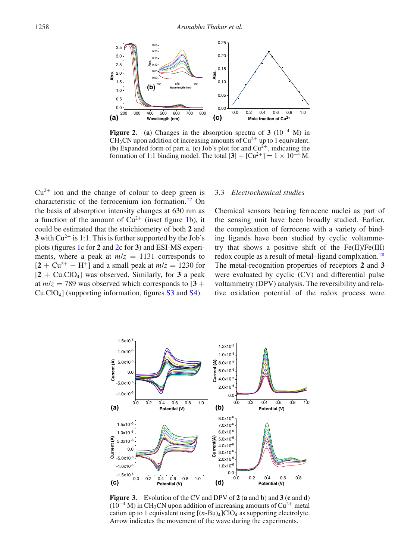<span id="page-3-0"></span>

**Figure 2.** (a) Changes in the absorption spectra of  $3(10^{-4} \text{ M})$  in CH<sub>3</sub>CN upon addition of increasing amounts of  $Cu^{2+}$  up to 1 equivalent. (**b**) Expanded form of part a. (**c**) Job's plot for and  $Cu^{2+}$ , indicating the formation of 1:1 binding model. The total  $[3] + [Cu^{2+}] = 1 \times 10^{-4}$  M.

 $Cu<sup>2+</sup>$  ion and the change of colour to deep green is characteristic of the ferrocenium ion formation.<sup>[27](#page-5-17)</sup> On the basis of absorption intensity changes at 630 nm as a function of the amount of  $Cu^{2+}$  (inset figure [1b](#page-2-1)), it could be estimated that the stoichiometry of both **2** and **3** with  $Cu^{2+}$  is 1:1. This is further supported by the Job's plots (figures [1c](#page-2-1) for **2** and [2c](#page-3-0) for **3**) and ESI-MS experiments, where a peak at  $m/z = 1131$  corresponds to  $[2 + Cu^{2+} - H^+]$  and a small peak at  $m/z = 1230$  for  $[2 + Cu.CIO<sub>4</sub>]$  was observed. Similarly, for 3 a peak at  $m/z = 789$  was observed which corresponds to  $\left[3 + \frac{1}{2}\right]$ Cu.ClO4] (supporting information, figures S3 and S4).

# 3.3 *Electrochemical studies*

Chemical sensors bearing ferrocene nuclei as part of the sensing unit have been broadly studied. Earlier, the complexation of ferrocene with a variety of binding ligands have been studied by cyclic voltammetry that shows a positive shift of the Fe(II)/Fe(III) redox couple as a result of metal–ligand complxation.<sup>[28](#page-5-18)</sup> The metal-recognition properties of receptors **2** and **3** were evaluated by cyclic (CV) and differential pulse voltammetry (DPV) analysis. The reversibility and relative oxidation potential of the redox process were

<span id="page-3-1"></span>

**Figure 3.** Evolution of the CV and DPV of **2** (**a** and **b**) and **3** (**c** and **d**)  $(10^{-4}$  M) in CH<sub>3</sub>CN upon addition of increasing amounts of Cu<sup>2+</sup> metal cation up to 1 equivalent using  $[(n-Bu)_4]ClO_4$  as supporting electrolyte. Arrow indicates the movement of the wave during the experiments.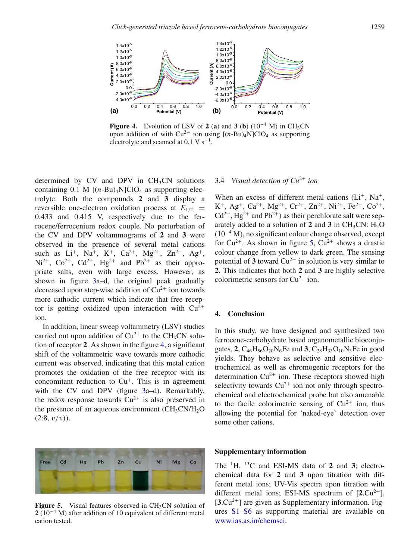<span id="page-4-0"></span>

**Figure 4.** Evolution of LSV of **2** (a) and **3** (b)  $(10^{-4} \text{ M})$  in CH<sub>3</sub>CN upon addition of with  $Cu^{2+}$  ion using  $[(n-Bu)_4N]ClO_4$  as supporting electrolyte and scanned at  $0.1 \text{ V s}^{-1}$ .

determined by  $CV$  and  $DPV$  in  $CH<sub>3</sub>CN$  solutions containing 0.1 M  $[(n-Bu)_4N]ClO_4$  as supporting electrolyte. Both the compounds **2** and **3** display a reversible one-electron oxidation process at  $E_{1/2}$  = 0.433 and 0.415 V, respectively due to the ferrocene/ferrocenium redox couple. No perturbation of the CV and DPV voltammograms of **2** and **3** were observed in the presence of several metal cations such as  $Li^+$ , Na<sup>+</sup>, K<sup>+</sup>, Ca<sup>2+</sup>, Mg<sup>2+</sup>, Zn<sup>2+</sup>, Ag<sup>+</sup>,  $Ni^{2+}$ ,  $Co^{2+}$ ,  $Cd^{2+}$ ,  $Hg^{2+}$  and  $Pb^{2+}$  as their appropriate salts, even with large excess. However, as shown in figure [3a](#page-3-1)–d, the original peak gradually decreased upon step-wise addition of  $Cu^{2+}$  ion towards more cathodic current which indicate that free receptor is getting oxidized upon interaction with  $Cu^{2+}$ ion.

In addition, linear sweep voltammetry (LSV) studies carried out upon addition of  $Cu^{2+}$  to the CH<sub>3</sub>CN solution of receptor **2**. As shown in the figure [4,](#page-4-0) a significant shift of the voltammetric wave towards more cathodic current was observed, indicating that this metal cation promotes the oxidation of the free receptor with its concomitant reduction to  $Cu<sup>+</sup>$ . This is in agreement with the CV and DPV (figure [3a](#page-3-1)–d). Remarkably, the redox response towards  $Cu^{2+}$  is also preserved in the presence of an aqueous environment  $\rm (CH_3CN/H_2O)$  $(2:8, v/v)$ ).

<span id="page-4-1"></span>

**Figure 5.** Visual features observed in CH<sub>3</sub>CN solution of **2** (10<sup>−</sup><sup>4</sup> M) after addition of 10 equivalent of different metal cation tested.

# 3.4 *Visual detection of Cu*<sup>2</sup><sup>+</sup> *ion*

When an excess of different metal cations  $(L<sup>+</sup>, Na<sup>+</sup>,$  $K^+$ , Ag<sup>+</sup>, Ca<sup>2+</sup>, Mg<sup>2+</sup>, Cr<sup>2+</sup>, Zn<sup>2+</sup>, Ni<sup>2+</sup>, Fe<sup>2+</sup>, Co<sup>2+</sup>,  $Cd^{2+}$ , Hg<sup>2+</sup> and Pb<sup>2+</sup>) as their perchlorate salt were separately added to a solution of  $2$  and  $3$  in CH<sub>3</sub>CN: H<sub>2</sub>O  $(10^{-4}$  M), no significant colour change observed, except for  $Cu^{2+}$ . As shown in figure [5,](#page-4-1)  $Cu^{2+}$  shows a drastic colour change from yellow to dark green. The sensing potential of  $3$  toward  $Cu^{2+}$  in solution is very similar to **2**. This indicates that both **2** and **3** are highly selective colorimetric sensors for  $Cu^{2+}$  ion.

# **4. Conclusion**

In this study, we have designed and synthesized two ferrocene-carbohydrate based organometallic bioconjugates, **2**,  $C_{46}H_{56}O_{20}N_6Fe$  and **3**,  $C_{28}H_{33}O_{10}N_3Fe$  in good yields. They behave as selective and sensitive electrochemical as well as chromogenic receptors for the determination  $Cu^{2+}$  ion. These receptors showed high selectivity towards  $Cu^{2+}$  ion not only through spectrochemical and electrochemical probe but also amenable to the facile colorimetric sensing of  $Cu^{2+}$  ion, thus allowing the potential for 'naked-eye' detection over some other cations.

# **Supplementary information**

The 1H, 13C and ESI-MS data of **2** and **3**; electrochemical data for **2** and **3** upon titration with different metal ions; UV-Vis spectra upon titration with different metal ions; ESI-MS spectrum of  $[2.Cu^{2+}]$ ,  $[3 \text{Cu}^{2+}]$  are given as Supplementary information. Figures S1–S6 as supporting material are available on [www.ias.as.in/chemsci.](http://www.ias.as.in/chemsci)